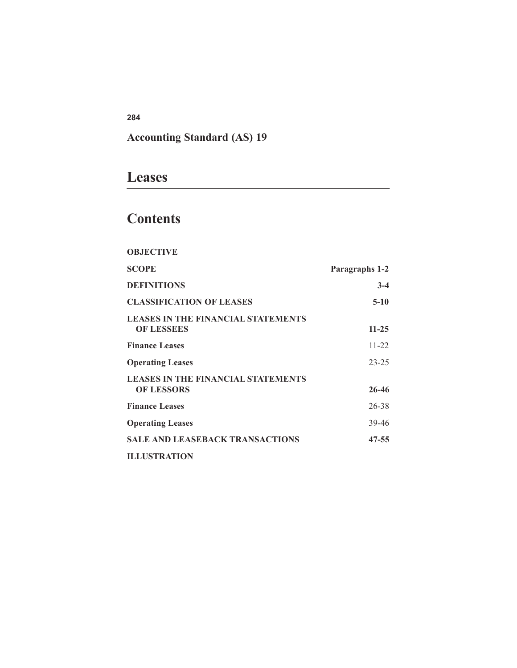**284**

**Accounting Standard (AS) 19**

# **Leases**

# **Contents**

| <b>OBJECTIVE</b>                                               |                |
|----------------------------------------------------------------|----------------|
| <b>SCOPE</b>                                                   | Paragraphs 1-2 |
| <b>DEFINITIONS</b>                                             | $3 - 4$        |
| <b>CLASSIFICATION OF LEASES</b>                                | $5-10$         |
| <b>LEASES IN THE FINANCIAL STATEMENTS</b><br><b>OF LESSEES</b> | $11 - 25$      |
| <b>Finance Leases</b>                                          | $11 - 22$      |
| <b>Operating Leases</b>                                        | $23 - 25$      |
| <b>LEASES IN THE FINANCIAL STATEMENTS</b><br><b>OF LESSORS</b> | 26-46          |
| <b>Finance Leases</b>                                          | 26-38          |
| <b>Operating Leases</b>                                        | 39-46          |
| <b>SALE AND LEASEBACK TRANSACTIONS</b>                         | $47 - 55$      |
| <b>ILLUSTRATION</b>                                            |                |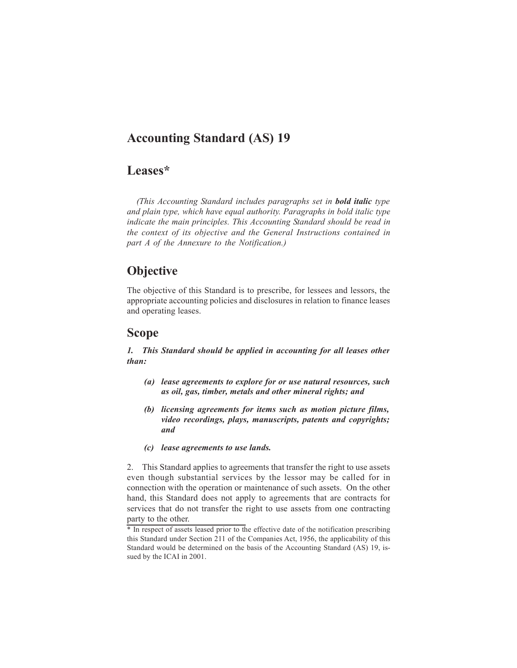## **Accounting Standard (AS) 19**

## **Leases\***

*(This Accounting Standard includes paragraphs set in bold italic type and plain type, which have equal authority. Paragraphs in bold italic type indicate the main principles. This Accounting Standard should be read in the context of its objective and the General Instructions contained in part A of the Annexure to the Notification.)*

## **Objective**

The objective of this Standard is to prescribe, for lessees and lessors, the appropriate accounting policies and disclosures in relation to finance leases and operating leases.

### **Scope**

*1. This Standard should be applied in accounting for all leases other than:*

- *(a) lease agreements to explore for or use natural resources, such as oil, gas, timber, metals and other mineral rights; and*
- *(b) licensing agreements for items such as motion picture films, video recordings, plays, manuscripts, patents and copyrights; and*
- *(c) lease agreements to use lands.*

2. This Standard applies to agreements that transfer the right to use assets even though substantial services by the lessor may be called for in connection with the operation or maintenance of such assets. On the other hand, this Standard does not apply to agreements that are contracts for services that do not transfer the right to use assets from one contracting party to the other.

<sup>\*</sup> In respect of assets leased prior to the effective date of the notification prescribing this Standard under Section 211 of the Companies Act, 1956, the applicability of this Standard would be determined on the basis of the Accounting Standard (AS) 19, issued by the ICAI in 2001.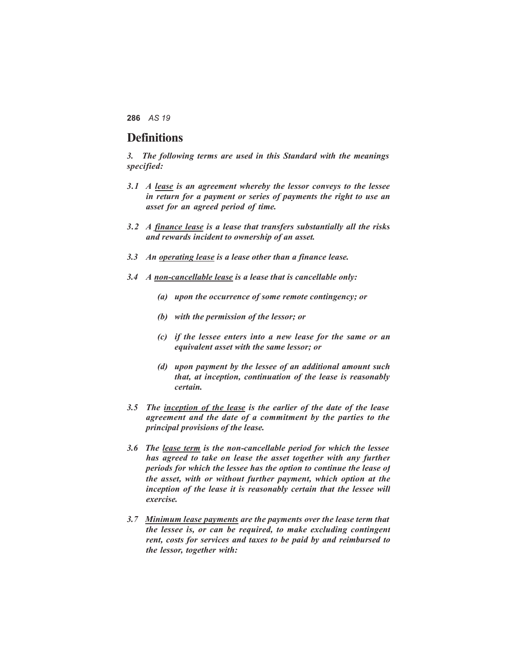## **Definitions**

*3. The following terms are used in this Standard with the meanings specified:*

- *3.1 A lease is an agreement whereby the lessor conveys to the lessee in return for a payment or series of payments the right to use an asset for an agreed period of time.*
- *3.2 A finance lease is a lease that transfers substantially all the risks and rewards incident to ownership of an asset.*
- *3.3 An operating lease is a lease other than a finance lease.*
- *3.4 A non-cancellable lease is a lease that is cancellable only:*
	- *(a) upon the occurrence of some remote contingency; or*
	- *(b) with the permission of the lessor; or*
	- *(c) if the lessee enters into a new lease for the same or an equivalent asset with the same lessor; or*
	- *(d) upon payment by the lessee of an additional amount such that, at inception, continuation of the lease is reasonably certain.*
- *3.5 The inception of the lease is the earlier of the date of the lease agreement and the date of a commitment by the parties to the principal provisions of the lease.*
- *3.6 The lease term is the non-cancellable period for which the lessee has agreed to take on lease the asset together with any further periods for which the lessee has the option to continue the lease of the asset, with or without further payment, which option at the inception of the lease it is reasonably certain that the lessee will exercise.*
- *3.7 Minimum lease payments are the payments over the lease term that the lessee is, or can be required, to make excluding contingent rent, costs for services and taxes to be paid by and reimbursed to the lessor, together with:*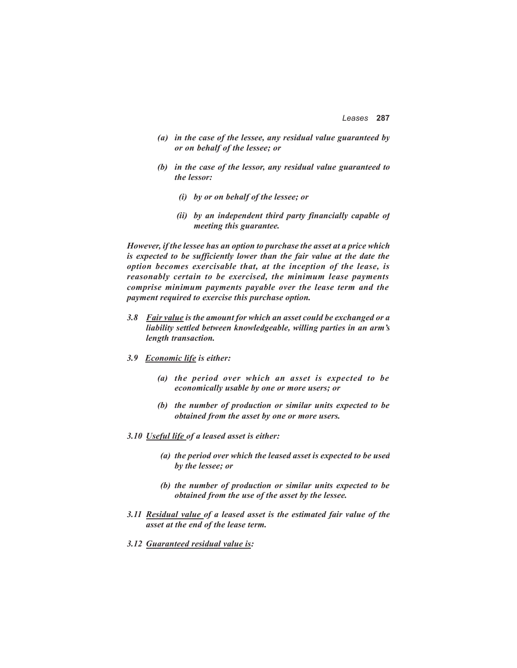- *(a) in the case of the lessee, any residual value guaranteed by or on behalf of the lessee; or*
- *(b) in the case of the lessor, any residual value guaranteed to the lessor:*
	- *(i) by or on behalf of the lessee; or*
	- *(ii) by an independent third party financially capable of meeting this guarantee.*

*However, if the lessee has an option to purchase the asset at a price which is expected to be sufficiently lower than the fair value at the date the option becomes exercisable that, at the inception of the lease, is reasonably certain to be exercised, the minimum lease payments comprise minimum payments payable over the lease term and the payment required to exercise this purchase option.*

- *3.8 Fair value is the amount for which an asset could be exchanged or a liability settled between knowledgeable, willing parties in an arm's length transaction.*
- *3.9 Economic life is either:*
	- *(a) the period over which an asset is expected to be economically usable by one or more users; or*
	- *(b) the number of production or similar units expected to be obtained from the asset by one or more users.*
- *3.10 Useful life of a leased asset is either:*
	- *(a) the period over which the leased asset is expected to be used by the lessee; or*
	- *(b) the number of production or similar units expected to be obtained from the use of the asset by the lessee.*
- *3.11 Residual value of a leased asset is the estimated fair value of the asset at the end of the lease term.*
- *3.12 Guaranteed residual value is:*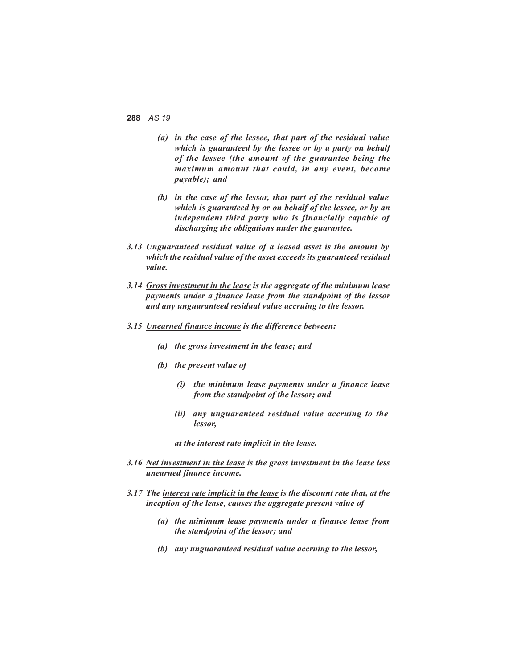- *(a) in the case of the lessee, that part of the residual value which is guaranteed by the lessee or by a party on behalf of the lessee (the amount of the guarantee being the maximum amount that could, in any event, become payable); and*
- *(b) in the case of the lessor, that part of the residual value which is guaranteed by or on behalf of the lessee, or by an independent third party who is financially capable of discharging the obligations under the guarantee.*
- *3.13 Unguaranteed residual value of a leased asset is the amount by which the residual value of the asset exceeds its guaranteed residual value.*
- *3.14 Gross investment in the lease is the aggregate of the minimum lease payments under a finance lease from the standpoint of the lessor and any unguaranteed residual value accruing to the lessor.*
- *3.15 Unearned finance income is the difference between:*
	- *(a) the gross investment in the lease; and*
	- *(b) the present value of*
		- *(i) the minimum lease payments under a finance lease from the standpoint of the lessor; and*
		- *(ii) any unguaranteed residual value accruing to the lessor,*

*at the interest rate implicit in the lease.*

- *3.16 Net investment in the lease is the gross investment in the lease less unearned finance income.*
- *3.17 The interest rate implicit in the lease is the discount rate that, at the inception of the lease, causes the aggregate present value of*
	- *(a) the minimum lease payments under a finance lease from the standpoint of the lessor; and*
	- *(b) any unguaranteed residual value accruing to the lessor,*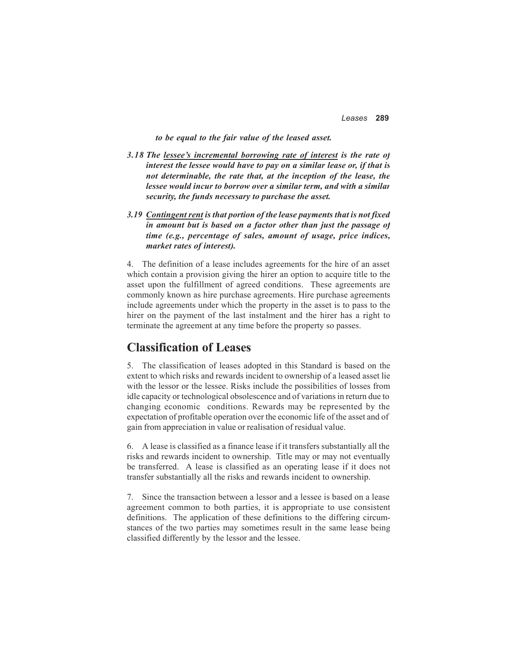*Leases* **289**

*to be equal to the fair value of the leased asset.*

- *3.18 The lessee's incremental borrowing rate of interest is the rate of interest the lessee would have to pay on a similar lease or, if that is not determinable, the rate that, at the inception of the lease, the lessee would incur to borrow over a similar term, and with a similar security, the funds necessary to purchase the asset.*
- *3.19 Contingent rent is that portion of the lease payments that is not fixed in amount but is based on a factor other than just the passage of time (e.g., percentage of sales, amount of usage, price indices, market rates of interest).*

4. The definition of a lease includes agreements for the hire of an asset which contain a provision giving the hirer an option to acquire title to the asset upon the fulfillment of agreed conditions. These agreements are commonly known as hire purchase agreements. Hire purchase agreements include agreements under which the property in the asset is to pass to the hirer on the payment of the last instalment and the hirer has a right to terminate the agreement at any time before the property so passes.

## **Classification of Leases**

5. The classification of leases adopted in this Standard is based on the extent to which risks and rewards incident to ownership of a leased asset lie with the lessor or the lessee. Risks include the possibilities of losses from idle capacity or technological obsolescence and of variations in return due to changing economic conditions. Rewards may be represented by the expectation of profitable operation over the economic life of the asset and of gain from appreciation in value or realisation of residual value.

6. A lease is classified as a finance lease if it transfers substantially all the risks and rewards incident to ownership. Title may or may not eventually be transferred. A lease is classified as an operating lease if it does not transfer substantially all the risks and rewards incident to ownership.

7. Since the transaction between a lessor and a lessee is based on a lease agreement common to both parties, it is appropriate to use consistent definitions. The application of these definitions to the differing circumstances of the two parties may sometimes result in the same lease being classified differently by the lessor and the lessee.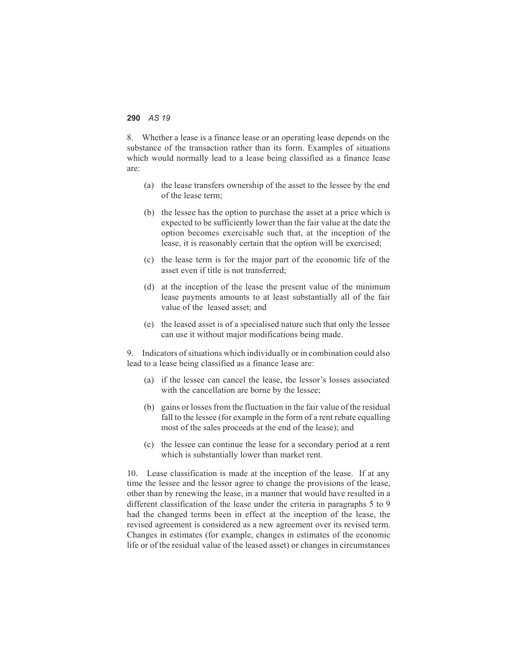8. Whether a lease is a finance lease or an operating lease depends on the substance of the transaction rather than its form. Examples of situations which would normally lead to a lease being classified as a finance lease are:

- (a) the lease transfers ownership of the asset to the lessee by the end of the lease term;
- (b) the lessee has the option to purchase the asset at a price which is expected to be sufficiently lower than the fair value at the date the option becomes exercisable such that, at the inception of the lease, it is reasonably certain that the option will be exercised;
- (c) the lease term is for the major part of the economic life of the asset even if title is not transferred;
- (d) at the inception of the lease the present value of the minimum lease payments amounts to at least substantially all of the fair value of the leased asset; and
- (e) the leased asset is of a specialised nature such that only the lessee can use it without major modifications being made.

9. Indicators of situations which individually or in combination could also lead to a lease being classified as a finance lease are:

- (a) if the lessee can cancel the lease, the lessor's losses associated with the cancellation are borne by the lessee;
- (b) gains or losses from the fluctuation in the fair value of the residual fall to the lessee (for example in the form of a rent rebate equalling most of the sales proceeds at the end of the lease); and
- (c) the lessee can continue the lease for a secondary period at a rent which is substantially lower than market rent.

10. Lease classification is made at the inception of the lease. If at any time the lessee and the lessor agree to change the provisions of the lease, other than by renewing the lease, in a manner that would have resulted in a different classification of the lease under the criteria in paragraphs 5 to 9 had the changed terms been in effect at the inception of the lease, the revised agreement is considered as a new agreement over its revised term. Changes in estimates (for example, changes in estimates of the economic life or of the residual value of the leased asset) or changes in circumstances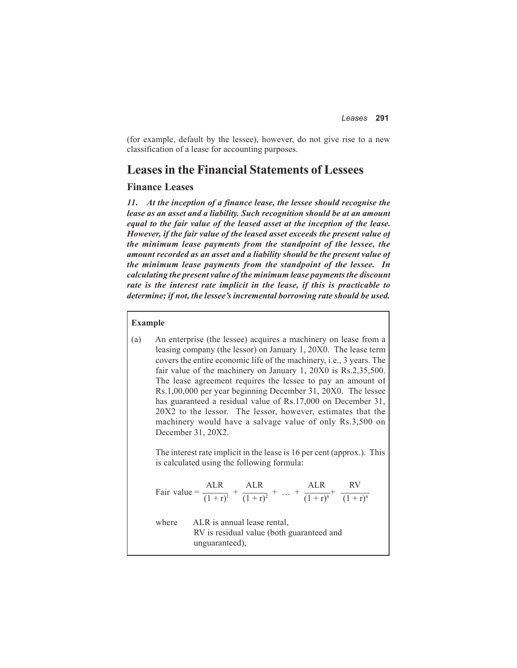(for example, default by the lessee), however, do not give rise to a new classification of a lease for accounting purposes.

## **Leases in the Financial Statements of Lessees**

#### **Finance Leases**

*11. At the inception of a finance lease, the lessee should recognise the lease as an asset and a liability. Such recognition should be at an amount equal to the fair value of the leased asset at the inception of the lease. However, if the fair value of the leased asset exceeds the present value of the minimum lease payments from the standpoint of the lessee, the amount recorded as an asset and a liability should be the present value of the minimum lease payments from the standpoint of the lessee. In calculating the present value of the minimum lease payments the discount rate is the interest rate implicit in the lease, if this is practicable to determine; if not, the lessee's incremental borrowing rate should be used.*

#### **Example**

(a) An enterprise (the lessee) acquires a machinery on lease from a leasing company (the lessor) on January 1, 20X0. The lease term covers the entire economic life of the machinery, i.e., 3 years. The fair value of the machinery on January 1, 20X0 is Rs.2,35,500. The lease agreement requires the lessee to pay an amount of Rs.1,00,000 per year beginning December 31, 20X0. The lessee has guaranteed a residual value of Rs.17,000 on December 31, 20X2 to the lessor. The lessor, however, estimates that the machinery would have a salvage value of only Rs.3,500 on December 31, 20X2.

The interest rate implicit in the lease is 16 per cent (approx.). This is calculated using the following formula:

Fair value = 
$$
\frac{ALR}{(1+r)^1}
$$
 +  $\frac{ALR}{(1+r)^2}$  + ... +  $\frac{ALR}{(1+r)^n}$  +  $\frac{RV}{(1+r)^n}$ 

where ALR is annual lease rental, RV is residual value (both guaranteed and unguaranteed),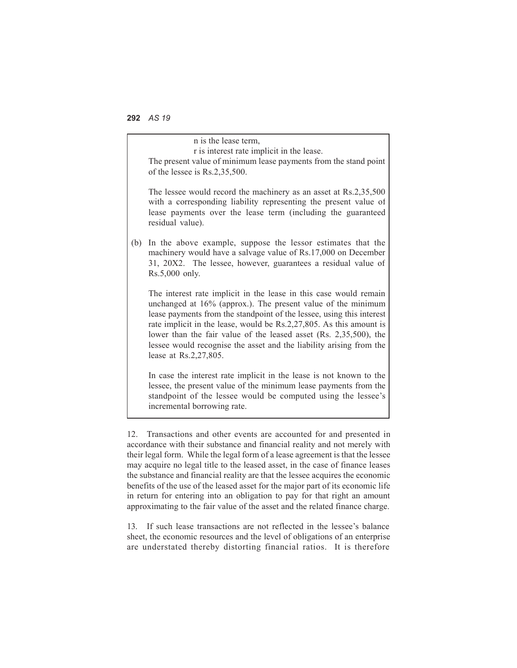n is the lease term,

r is interest rate implicit in the lease.

The present value of minimum lease payments from the stand point of the lessee is Rs.2,35,500.

The lessee would record the machinery as an asset at Rs.2,35,500 with a corresponding liability representing the present value of lease payments over the lease term (including the guaranteed residual value).

(b) In the above example, suppose the lessor estimates that the machinery would have a salvage value of Rs.17,000 on December 31, 20X2. The lessee, however, guarantees a residual value of Rs.5,000 only.

The interest rate implicit in the lease in this case would remain unchanged at 16% (approx.). The present value of the minimum lease payments from the standpoint of the lessee, using this interest rate implicit in the lease, would be Rs.2,27,805. As this amount is lower than the fair value of the leased asset (Rs. 2,35,500), the lessee would recognise the asset and the liability arising from the lease at Rs.2,27,805.

In case the interest rate implicit in the lease is not known to the lessee, the present value of the minimum lease payments from the standpoint of the lessee would be computed using the lessee's incremental borrowing rate.

12. Transactions and other events are accounted for and presented in accordance with their substance and financial reality and not merely with their legal form. While the legal form of a lease agreement is that the lessee may acquire no legal title to the leased asset, in the case of finance leases the substance and financial reality are that the lessee acquires the economic benefits of the use of the leased asset for the major part of its economic life in return for entering into an obligation to pay for that right an amount approximating to the fair value of the asset and the related finance charge.

13. If such lease transactions are not reflected in the lessee's balance sheet, the economic resources and the level of obligations of an enterprise are understated thereby distorting financial ratios. It is therefore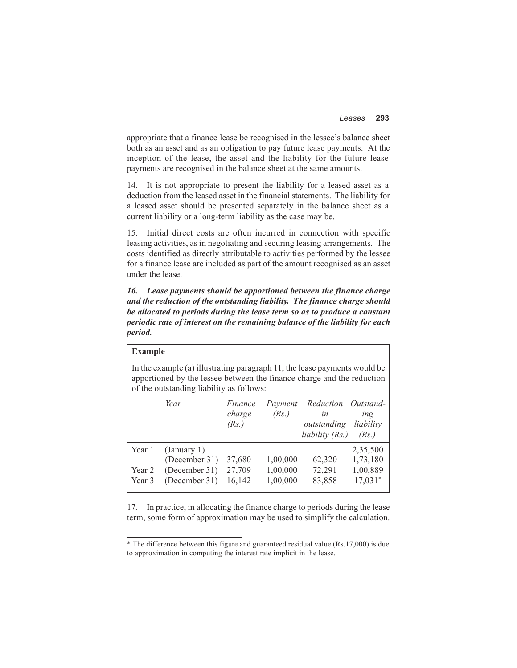appropriate that a finance lease be recognised in the lessee's balance sheet both as an asset and as an obligation to pay future lease payments. At the inception of the lease, the asset and the liability for the future lease payments are recognised in the balance sheet at the same amounts.

14. It is not appropriate to present the liability for a leased asset as a deduction from the leased asset in the financial statements. The liability for a leased asset should be presented separately in the balance sheet as a current liability or a long-term liability as the case may be.

15. Initial direct costs are often incurred in connection with specific leasing activities, as in negotiating and securing leasing arrangements. The costs identified as directly attributable to activities performed by the lessee for a finance lease are included as part of the amount recognised as an asset under the lease.

*16. Lease payments should be apportioned between the finance charge and the reduction of the outstanding liability. The finance charge should be allocated to periods during the lease term so as to produce a constant periodic rate of interest on the remaining balance of the liability for each period.*

| Example                                                                                                                                                                                         |               |         |          |                   |           |
|-------------------------------------------------------------------------------------------------------------------------------------------------------------------------------------------------|---------------|---------|----------|-------------------|-----------|
| In the example (a) illustrating paragraph 11, the lease payments would be<br>apportioned by the lessee between the finance charge and the reduction<br>of the outstanding liability as follows: |               |         |          |                   |           |
|                                                                                                                                                                                                 | Year          | Finance | Payment  | Reduction         | Outstand- |
|                                                                                                                                                                                                 |               | charge  | (Rs.)    | in                | ing       |
|                                                                                                                                                                                                 |               | (Rs.)   |          | outstanding       | liability |
|                                                                                                                                                                                                 |               |         |          | liability $(Rs.)$ | (Rs.)     |
| Year 1                                                                                                                                                                                          | (January 1)   |         |          |                   | 2,35,500  |
|                                                                                                                                                                                                 | (December 31) | 37,680  | 1,00,000 | 62,320            | 1,73,180  |
| Year 2                                                                                                                                                                                          | (December 31) | 27,709  | 1,00,000 | 72,291            | 1,00,889  |
| Year 3                                                                                                                                                                                          | (December 31) | 16,142  | 1,00,000 | 83,858            | $17,031*$ |

17. In practice, in allocating the finance charge to periods during the lease term, some form of approximation may be used to simplify the calculation.

<sup>\*</sup> The difference between this figure and guaranteed residual value (Rs.17,000) is due to approximation in computing the interest rate implicit in the lease.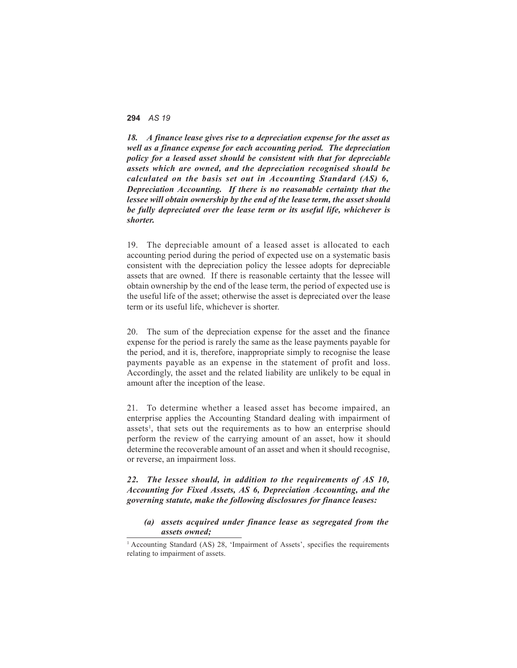*18. A finance lease gives rise to a depreciation expense for the asset as well as a finance expense for each accounting period. The depreciation policy for a leased asset should be consistent with that for depreciable assets which are owned, and the depreciation recognised should be calculated on the basis set out in Accounting Standard (AS) 6, Depreciation Accounting. If there is no reasonable certainty that the lessee will obtain ownership by the end of the lease term, the asset should be fully depreciated over the lease term or its useful life, whichever is shorter.*

19. The depreciable amount of a leased asset is allocated to each accounting period during the period of expected use on a systematic basis consistent with the depreciation policy the lessee adopts for depreciable assets that are owned. If there is reasonable certainty that the lessee will obtain ownership by the end of the lease term, the period of expected use is the useful life of the asset; otherwise the asset is depreciated over the lease term or its useful life, whichever is shorter.

20. The sum of the depreciation expense for the asset and the finance expense for the period is rarely the same as the lease payments payable for the period, and it is, therefore, inappropriate simply to recognise the lease payments payable as an expense in the statement of profit and loss. Accordingly, the asset and the related liability are unlikely to be equal in amount after the inception of the lease.

21. To determine whether a leased asset has become impaired, an enterprise applies the Accounting Standard dealing with impairment of assets<sup>1</sup>, that sets out the requirements as to how an enterprise should perform the review of the carrying amount of an asset, how it should determine the recoverable amount of an asset and when it should recognise, or reverse, an impairment loss.

#### *22. The lessee should, in addition to the requirements of AS 10, Accounting for Fixed Assets, AS 6, Depreciation Accounting, and the governing statute, make the following disclosures for finance leases:*

#### *(a) assets acquired under finance lease as segregated from the assets owned;*

<sup>&</sup>lt;sup>1</sup> Accounting Standard (AS) 28, 'Impairment of Assets', specifies the requirements relating to impairment of assets.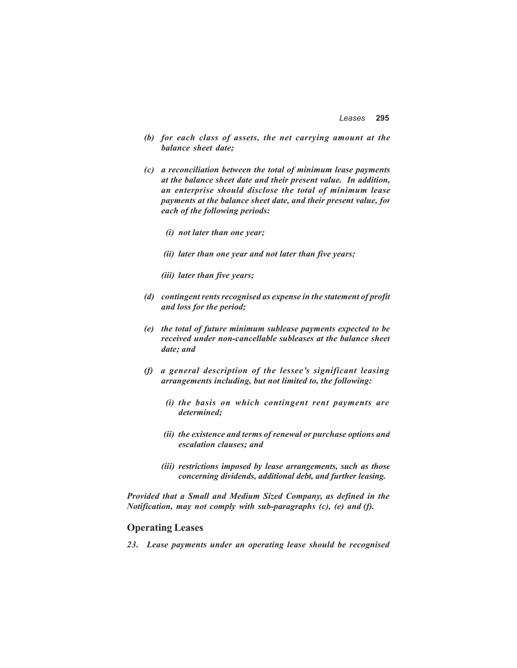- *(b) for each class of assets, the net carrying amount at the balance sheet date;*
- *(c) a reconciliation between the total of minimum lease payments at the balance sheet date and their present value. In addition, an enterprise should disclose the total of minimum lease payments at the balance sheet date, and their present value, for each of the following periods:*
	- *(i) not later than one year;*
	- *(ii) later than one year and not later than five years;*
	- *(iii) later than five years;*
- *(d) contingent rents recognised as expense in the statement of profit and loss for the period;*
- *(e) the total of future minimum sublease payments expected to be received under non-cancellable subleases at the balance sheet date; and*
- *(f) a general description of the lessee's significant leasing arrangements including, but not limited to, the following:*
	- *(i) the basis on which contingent rent payments are determined;*
	- *(ii) the existence and terms of renewal or purchase options and escalation clauses; and*
	- *(iii) restrictions imposed by lease arrangements, such as those concerning dividends, additional debt, and further leasing.*

*Provided that a Small and Medium Sized Company, as defined in the Notification, may not comply with sub-paragraphs (c), (e) and (f).*

#### **Operating Leases**

*23. Lease payments under an operating lease should be recognised*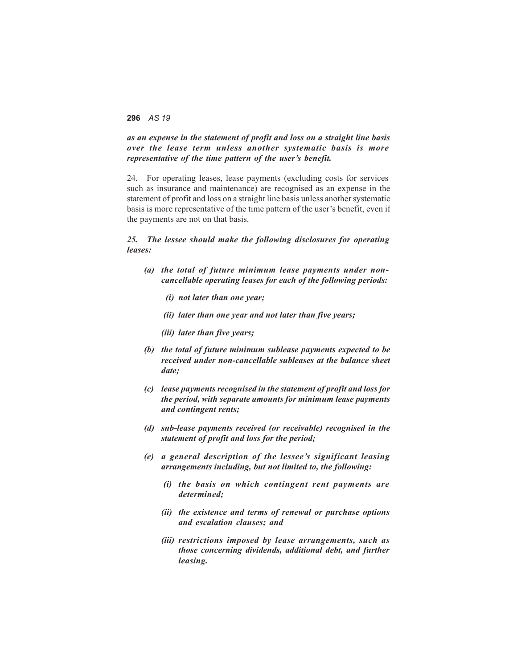*as an expense in the statement of profit and loss on a straight line basis over the lease term unless another systematic basis is more representative of the time pattern of the user's benefit.*

24. For operating leases, lease payments (excluding costs for services such as insurance and maintenance) are recognised as an expense in the statement of profit and loss on a straight line basis unless another systematic basis is more representative of the time pattern of the user's benefit, even if the payments are not on that basis.

*25. The lessee should make the following disclosures for operating leases:*

- *(a) the total of future minimum lease payments under noncancellable operating leases for each of the following periods:*
	- *(i) not later than one year;*
	- *(ii) later than one year and not later than five years;*
	- *(iii) later than five years;*
- *(b) the total of future minimum sublease payments expected to be received under non-cancellable subleases at the balance sheet date;*
- *(c) lease payments recognised in the statement of profit and loss for the period, with separate amounts for minimum lease payments and contingent rents;*
- *(d) sub-lease payments received (or receivable) recognised in the statement of profit and loss for the period;*
- *(e) a general description of the lessee's significant leasing arrangements including, but not limited to, the following:*
	- *(i) the basis on which contingent rent payments are determined;*
	- *(ii) the existence and terms of renewal or purchase options and escalation clauses; and*
	- *(iii) restrictions imposed by lease arrangements, such as those concerning dividends, additional debt, and further leasing.*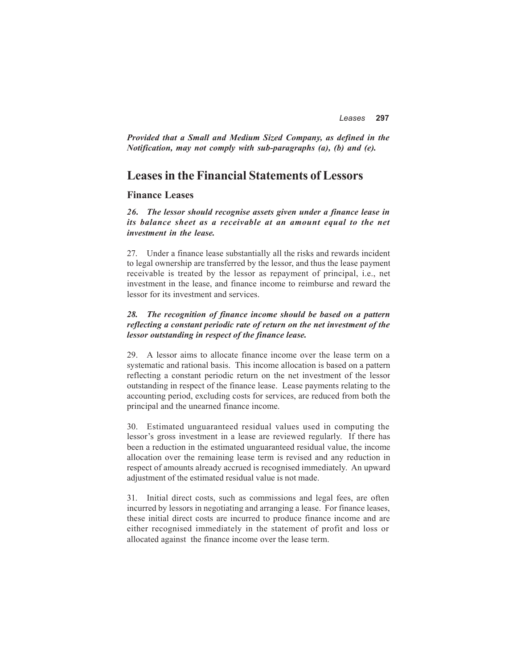*Provided that a Small and Medium Sized Company, as defined in the Notification, may not comply with sub-paragraphs (a), (b) and (e).*

## **Leases in the Financial Statements of Lessors**

#### **Finance Leases**

#### *26. The lessor should recognise assets given under a finance lease in its balance sheet as a receivable at an amount equal to the net investment in the lease.*

27. Under a finance lease substantially all the risks and rewards incident to legal ownership are transferred by the lessor, and thus the lease payment receivable is treated by the lessor as repayment of principal, i.e., net investment in the lease, and finance income to reimburse and reward the lessor for its investment and services.

#### *28. The recognition of finance income should be based on a pattern reflecting a constant periodic rate of return on the net investment of the lessor outstanding in respect of the finance lease.*

29. A lessor aims to allocate finance income over the lease term on a systematic and rational basis. This income allocation is based on a pattern reflecting a constant periodic return on the net investment of the lessor outstanding in respect of the finance lease. Lease payments relating to the accounting period, excluding costs for services, are reduced from both the principal and the unearned finance income.

30. Estimated unguaranteed residual values used in computing the lessor's gross investment in a lease are reviewed regularly. If there has been a reduction in the estimated unguaranteed residual value, the income allocation over the remaining lease term is revised and any reduction in respect of amounts already accrued is recognised immediately. An upward adjustment of the estimated residual value is not made.

31. Initial direct costs, such as commissions and legal fees, are often incurred by lessors in negotiating and arranging a lease. For finance leases, these initial direct costs are incurred to produce finance income and are either recognised immediately in the statement of profit and loss or allocated against the finance income over the lease term.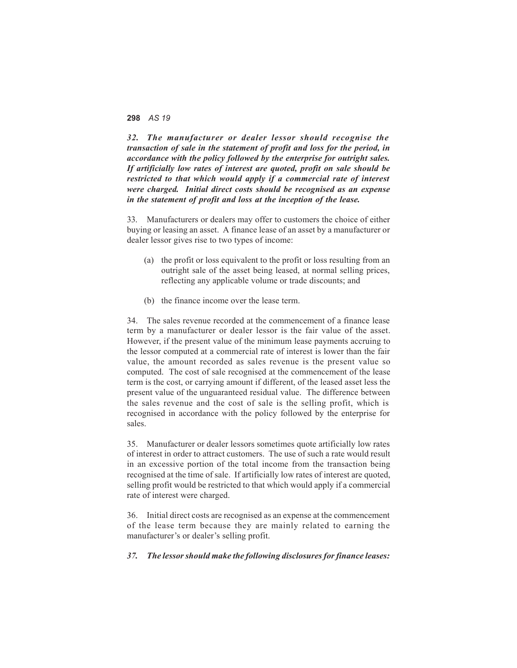*32. The manufacturer or dealer lessor should recognise the transaction of sale in the statement of profit and loss for the period, in accordance with the policy followed by the enterprise for outright sales. If artificially low rates of interest are quoted, profit on sale should be restricted to that which would apply if a commercial rate of interest were charged. Initial direct costs should be recognised as an expense in the statement of profit and loss at the inception of the lease.*

33. Manufacturers or dealers may offer to customers the choice of either buying or leasing an asset. A finance lease of an asset by a manufacturer or dealer lessor gives rise to two types of income:

- (a) the profit or loss equivalent to the profit or loss resulting from an outright sale of the asset being leased, at normal selling prices, reflecting any applicable volume or trade discounts; and
- (b) the finance income over the lease term.

34. The sales revenue recorded at the commencement of a finance lease term by a manufacturer or dealer lessor is the fair value of the asset. However, if the present value of the minimum lease payments accruing to the lessor computed at a commercial rate of interest is lower than the fair value, the amount recorded as sales revenue is the present value so computed. The cost of sale recognised at the commencement of the lease term is the cost, or carrying amount if different, of the leased asset less the present value of the unguaranteed residual value. The difference between the sales revenue and the cost of sale is the selling profit, which is recognised in accordance with the policy followed by the enterprise for sales.

35. Manufacturer or dealer lessors sometimes quote artificially low rates of interest in order to attract customers. The use of such a rate would result in an excessive portion of the total income from the transaction being recognised at the time of sale. If artificially low rates of interest are quoted, selling profit would be restricted to that which would apply if a commercial rate of interest were charged.

36. Initial direct costs are recognised as an expense at the commencement of the lease term because they are mainly related to earning the manufacturer's or dealer's selling profit.

#### *37. The lessor should make the following disclosures for finance leases:*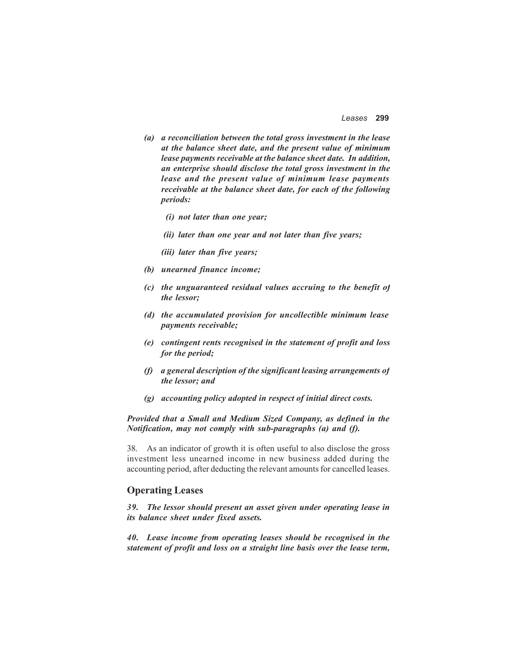- *(a) a reconciliation between the total gross investment in the lease at the balance sheet date, and the present value of minimum lease payments receivable at the balance sheet date. In addition, an enterprise should disclose the total gross investment in the lease and the present value of minimum lease payments receivable at the balance sheet date, for each of the following periods:*
	- *(i) not later than one year;*
	- *(ii) later than one year and not later than five years;*
	- *(iii) later than five years;*
- *(b) unearned finance income;*
- *(c) the unguaranteed residual values accruing to the benefit of the lessor;*
- *(d) the accumulated provision for uncollectible minimum lease payments receivable;*
- *(e) contingent rents recognised in the statement of profit and loss for the period;*
- *(f) a general description of the significant leasing arrangements of the lessor; and*
- *(g) accounting policy adopted in respect of initial direct costs.*

*Provided that a Small and Medium Sized Company, as defined in the Notification, may not comply with sub-paragraphs (a) and (f).*

38. As an indicator of growth it is often useful to also disclose the gross investment less unearned income in new business added during the accounting period, after deducting the relevant amounts for cancelled leases.

#### **Operating Leases**

*39. The lessor should present an asset given under operating lease in its balance sheet under fixed assets.*

*40. Lease income from operating leases should be recognised in the statement of profit and loss on a straight line basis over the lease term,*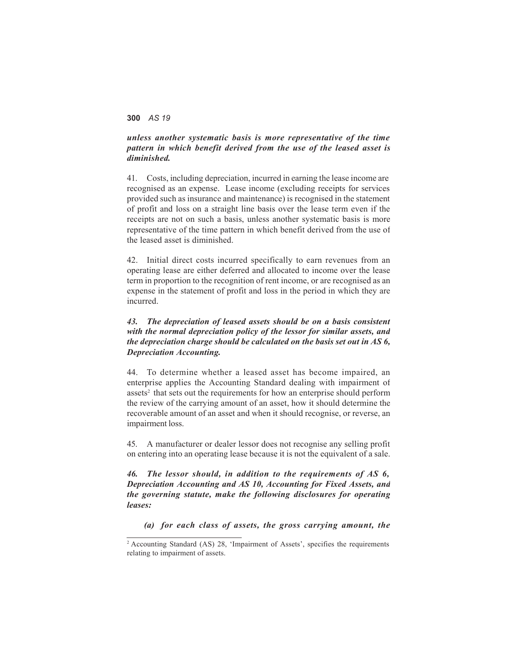#### *unless another systematic basis is more representative of the time pattern in which benefit derived from the use of the leased asset is diminished.*

41. Costs, including depreciation, incurred in earning the lease income are recognised as an expense. Lease income (excluding receipts for services provided such as insurance and maintenance) is recognised in the statement of profit and loss on a straight line basis over the lease term even if the receipts are not on such a basis, unless another systematic basis is more representative of the time pattern in which benefit derived from the use of the leased asset is diminished.

42. Initial direct costs incurred specifically to earn revenues from an operating lease are either deferred and allocated to income over the lease term in proportion to the recognition of rent income, or are recognised as an expense in the statement of profit and loss in the period in which they are incurred.

#### *43. The depreciation of leased assets should be on a basis consistent with the normal depreciation policy of the lessor for similar assets, and the depreciation charge should be calculated on the basis set out in AS 6, Depreciation Accounting.*

44. To determine whether a leased asset has become impaired, an enterprise applies the Accounting Standard dealing with impairment of assets<sup>2</sup> that sets out the requirements for how an enterprise should perform the review of the carrying amount of an asset, how it should determine the recoverable amount of an asset and when it should recognise, or reverse, an impairment loss.

45. A manufacturer or dealer lessor does not recognise any selling profit on entering into an operating lease because it is not the equivalent of a sale.

*46. The lessor should, in addition to the requirements of AS 6, Depreciation Accounting and AS 10, Accounting for Fixed Assets, and the governing statute, make the following disclosures for operating leases:*

#### *(a) for each class of assets, the gross carrying amount, the*

<sup>&</sup>lt;sup>2</sup> Accounting Standard (AS) 28, 'Impairment of Assets', specifies the requirements relating to impairment of assets.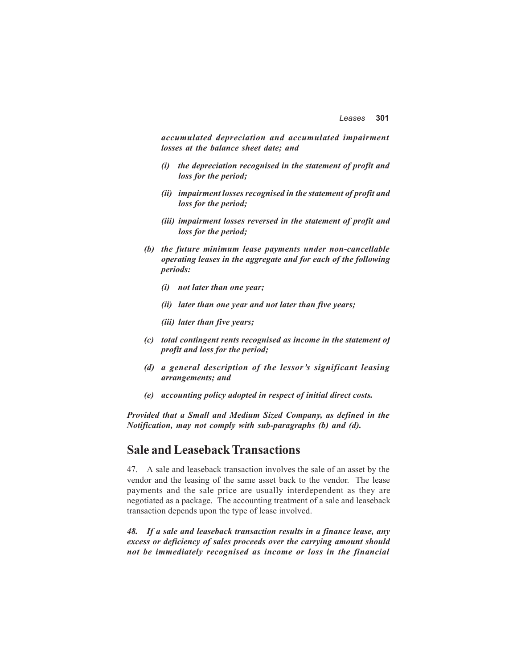*accumulated depreciation and accumulated impairment losses at the balance sheet date; and*

- *(i) the depreciation recognised in the statement of profit and loss for the period;*
- *(ii) impairment losses recognised in the statement of profit and loss for the period;*
- *(iii) impairment losses reversed in the statement of profit and loss for the period;*
- *(b) the future minimum lease payments under non-cancellable operating leases in the aggregate and for each of the following periods:*
	- *(i) not later than one year;*
	- *(ii) later than one year and not later than five years;*
	- *(iii) later than five years;*
- *(c) total contingent rents recognised as income in the statement of profit and loss for the period;*
- *(d) a general description of the lessor 's significant leasing arrangements; and*
- *(e) accounting policy adopted in respect of initial direct costs.*

*Provided that a Small and Medium Sized Company, as defined in the Notification, may not comply with sub-paragraphs (b) and (d).*

## **Sale and Leaseback Transactions**

47. A sale and leaseback transaction involves the sale of an asset by the vendor and the leasing of the same asset back to the vendor. The lease payments and the sale price are usually interdependent as they are negotiated as a package. The accounting treatment of a sale and leaseback transaction depends upon the type of lease involved.

*48. If a sale and leaseback transaction results in a finance lease, any excess or deficiency of sales proceeds over the carrying amount should not be immediately recognised as income or loss in the financial*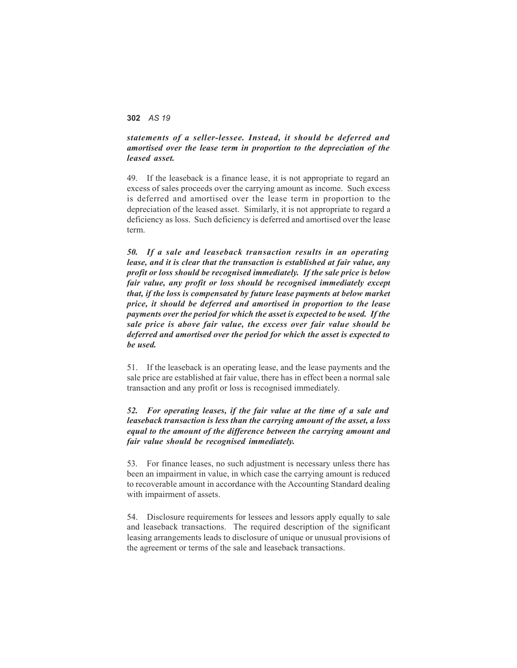#### *statements of a seller-lessee. Instead, it should be deferred and amortised over the lease term in proportion to the depreciation of the leased asset.*

49. If the leaseback is a finance lease, it is not appropriate to regard an excess of sales proceeds over the carrying amount as income. Such excess is deferred and amortised over the lease term in proportion to the depreciation of the leased asset. Similarly, it is not appropriate to regard a deficiency as loss. Such deficiency is deferred and amortised over the lease term.

*50. If a sale and leaseback transaction results in an operating lease, and it is clear that the transaction is established at fair value, any profit or loss should be recognised immediately. If the sale price is below fair value, any profit or loss should be recognised immediately except that, if the loss is compensated by future lease payments at below market price, it should be deferred and amortised in proportion to the lease payments over the period for which the asset is expected to be used. If the sale price is above fair value, the excess over fair value should be deferred and amortised over the period for which the asset is expected to be used.*

51. If the leaseback is an operating lease, and the lease payments and the sale price are established at fair value, there has in effect been a normal sale transaction and any profit or loss is recognised immediately.

#### *52. For operating leases, if the fair value at the time of a sale and leaseback transaction is less than the carrying amount of the asset, a loss equal to the amount of the difference between the carrying amount and fair value should be recognised immediately.*

53. For finance leases, no such adjustment is necessary unless there has been an impairment in value, in which case the carrying amount is reduced to recoverable amount in accordance with the Accounting Standard dealing with impairment of assets.

54. Disclosure requirements for lessees and lessors apply equally to sale and leaseback transactions. The required description of the significant leasing arrangements leads to disclosure of unique or unusual provisions of the agreement or terms of the sale and leaseback transactions.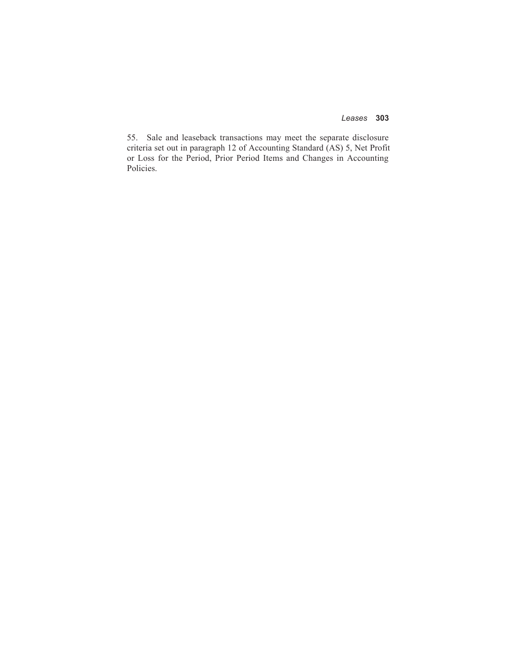#### *Leases* **303**

55. Sale and leaseback transactions may meet the separate disclosure criteria set out in paragraph 12 of Accounting Standard (AS) 5, Net Profit or Loss for the Period, Prior Period Items and Changes in Accounting Policies.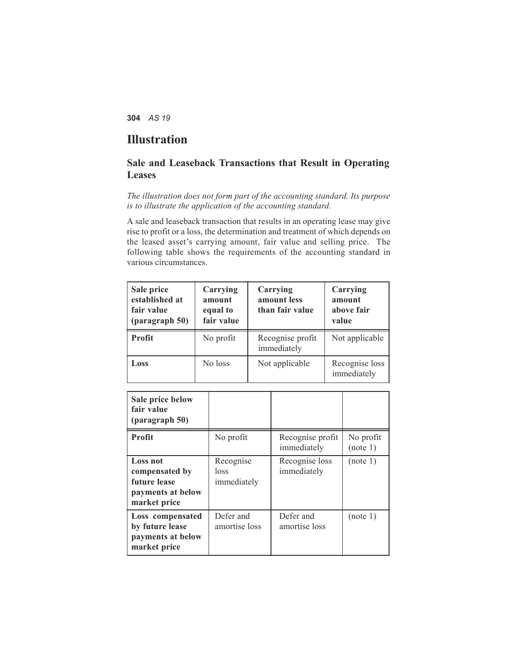## **Illustration**

## **Sale and Leaseback Transactions that Result in Operating Leases**

*The illustration does not form part of the accounting standard. Its purpose is to illustrate the application of the accounting standard.*

A sale and leaseback transaction that results in an operating lease may give rise to profit or a loss, the determination and treatment of which depends on the leased asset's carrying amount, fair value and selling price. The following table shows the requirements of the accounting standard in various circumstances.

| Sale price<br>established at<br>fair value<br>(paragraph 50) | Carrying<br>amount<br>equal to<br>fair value | Carrying<br>amount less<br>than fair value | Carrying<br>amount<br>above fair<br>value |
|--------------------------------------------------------------|----------------------------------------------|--------------------------------------------|-------------------------------------------|
| <b>Profit</b>                                                | No profit                                    | Recognise profit<br>immediately            | Not applicable                            |
| Loss                                                         | No loss                                      | Not applicable                             | Recognise loss<br>immediately             |

| Sale price below<br>fair value<br>(paragraph 50)                                |                                  |                                 |                       |
|---------------------------------------------------------------------------------|----------------------------------|---------------------------------|-----------------------|
| <b>Profit</b>                                                                   | No profit                        | Recognise profit<br>immediately | No profit<br>(note 1) |
| Loss not<br>compensated by<br>future lease<br>payments at below<br>market price | Recognise<br>loss<br>immediately | Recognise loss<br>immediately   | (note 1)              |
| Loss compensated<br>by future lease<br>payments at below<br>market price        | Defer and<br>amortise loss       | Defer and<br>amortise loss      | (note 1)              |